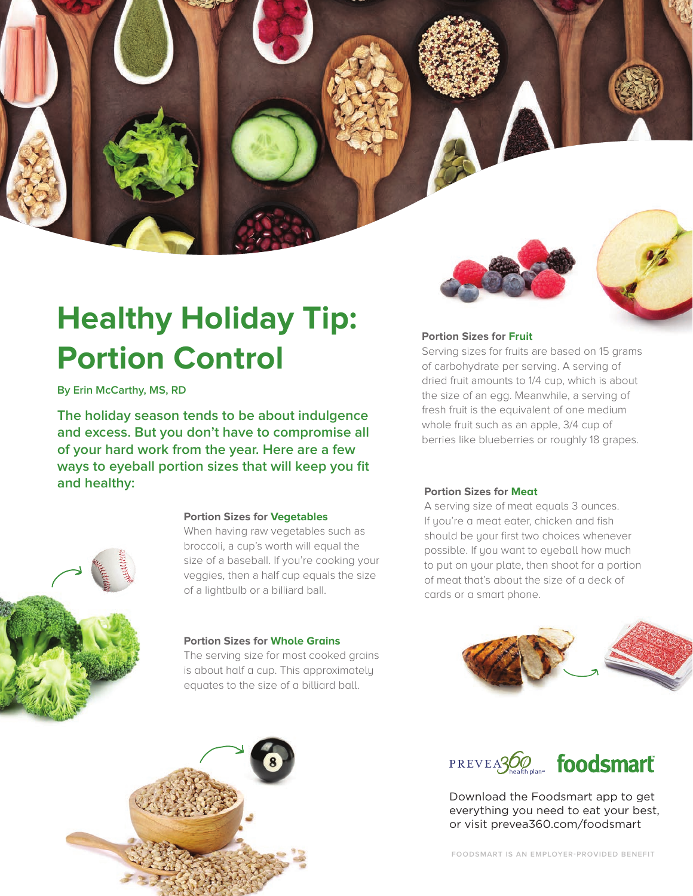# **Healthy Holiday Tip: Portion Control**

# **By Erin McCarthy, MS, RD**

**The holiday season tends to be about indulgence and excess. But you don't have to compromise all of your hard work from the year. Here are a few ways to eyeball portion sizes that will keep you fit and healthy: Portion Sizes for Meat**

# **Portion Sizes for Vegetables**

When having raw vegetables such as broccoli, a cup's worth will equal the size of a baseball. If you're cooking your veggies, then a half cup equals the size of a lightbulb or a billiard ball.

## **Portion Sizes for Whole Grains**

The serving size for most cooked grains is about half a cup. This approximately equates to the size of a billiard ball.



# **Portion Sizes for Fruit**

Serving sizes for fruits are based on 15 grams of carbohydrate per serving. A serving of dried fruit amounts to 1/4 cup, which is about the size of an egg. Meanwhile, a serving of fresh fruit is the equivalent of one medium whole fruit such as an apple, 3/4 cup of berries like blueberries or roughly 18 grapes.

A serving size of meat equals 3 ounces. If you're a meat eater, chicken and fish should be your first two choices whenever possible. If you want to eyeball how much to put on your plate, then shoot for a portion of meat that's about the size of a deck of cards or a smart phone.





Download the Foodsmart app to get everything you need to eat your best, or visit prevea360.com/foodsmart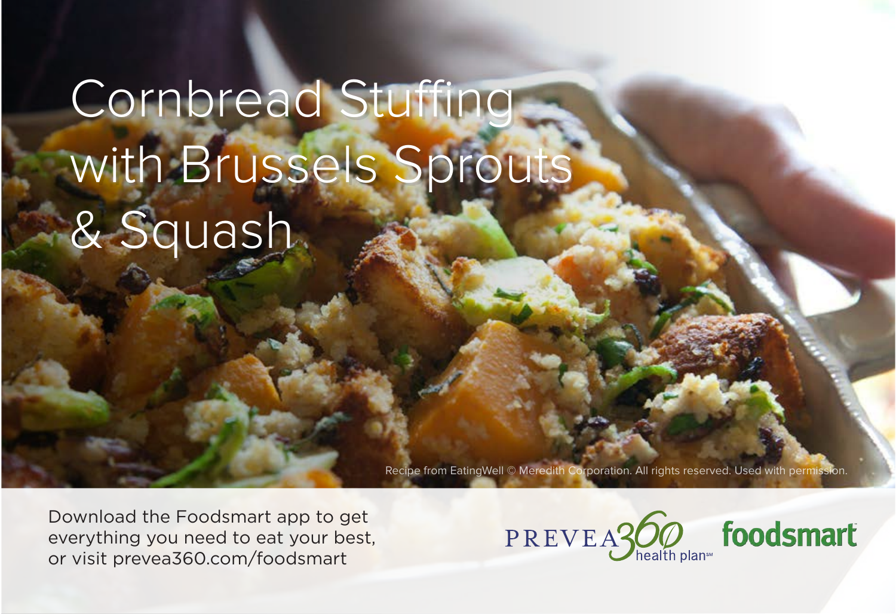# Cornbread Stuffing with Brussels Sprouts with Brussels Sprouts & Squash & Squash

Recipe from EatingWell © Meredith Corporation. All rights reserved. Used with permission.

Download the Foodsmart app to get everything you need to eat your best, or visit prevea360.com/foodsmart



foodsmart